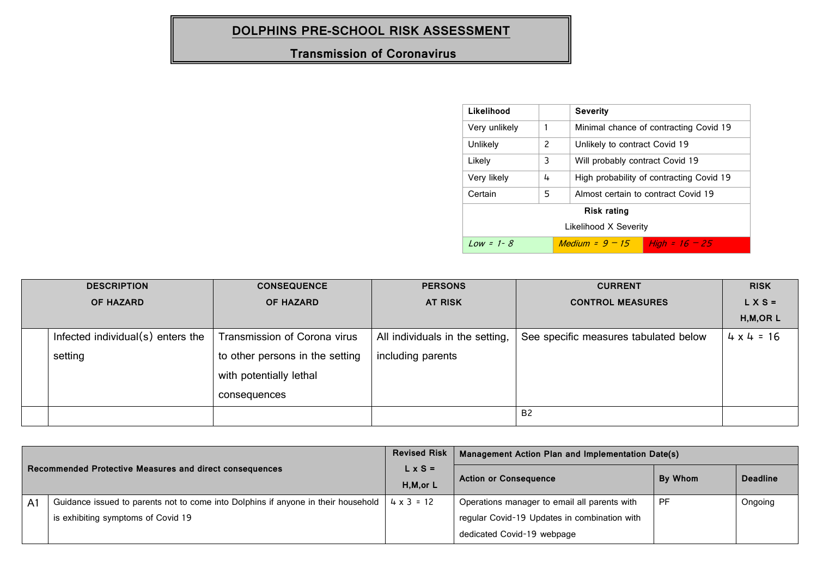## **DOLPHINS PRE-SCHOOL RISK ASSESSMENT**

## **Transmission of Coronavirus**

| Likelihood            |   | <b>Severity</b>                                         |  |  |
|-----------------------|---|---------------------------------------------------------|--|--|
| Very unlikely         | 1 | Minimal chance of contracting Covid 19                  |  |  |
| Unlikely              | 2 | Unlikely to contract Covid 19                           |  |  |
| Likely                | 3 | Will probably contract Covid 19                         |  |  |
| Very likely           | 4 | High probability of contracting Covid 19                |  |  |
| Certain               | 5 | Almost certain to contract Covid 19                     |  |  |
| <b>Risk rating</b>    |   |                                                         |  |  |
| Likelihood X Severity |   |                                                         |  |  |
| $Low = 1 - 8$         |   | <i>Medium = <math>9 - 15</math></i><br>High = $16 - 25$ |  |  |

| <b>DESCRIPTION</b> |                                      | <b>CONSEQUENCE</b>              | <b>PERSONS</b>                  | <b>CURRENT</b>                        | <b>RISK</b>       |
|--------------------|--------------------------------------|---------------------------------|---------------------------------|---------------------------------------|-------------------|
| <b>OF HAZARD</b>   |                                      | <b>OF HAZARD</b>                | <b>AT RISK</b>                  | <b>CONTROL MEASURES</b>               | $L X S =$         |
|                    |                                      |                                 |                                 |                                       | $H, M, OR$ L      |
|                    | Infected individual $(s)$ enters the | Transmission of Corona virus    | All individuals in the setting, | See specific measures tabulated below | $4 \times 4 = 16$ |
|                    | setting                              | to other persons in the setting | including parents               |                                       |                   |
|                    |                                      | with potentially lethal         |                                 |                                       |                   |
|                    |                                      | consequences                    |                                 |                                       |                   |
|                    |                                      |                                 |                                 | <b>B2</b>                             |                   |

| Recommended Protective Measures and direct consequences |                                                                                   | <b>Revised Risk</b>          | Management Action Plan and Implementation Date(s) |           |                 |
|---------------------------------------------------------|-----------------------------------------------------------------------------------|------------------------------|---------------------------------------------------|-----------|-----------------|
|                                                         |                                                                                   | $L \times S =$<br>H, M, or L | <b>Action or Consequence</b>                      | By Whom   | <b>Deadline</b> |
|                                                         | Guidance issued to parents not to come into Dolphins if anyone in their household | $4 \times 3 = 12$            | Operations manager to email all parents with      | <b>PF</b> | Ongoing         |
| A1                                                      | is exhibiting symptoms of Covid 19                                                |                              | regular Covid-19 Updates in combination with      |           |                 |
|                                                         |                                                                                   |                              | dedicated Covid-19 webpage                        |           |                 |